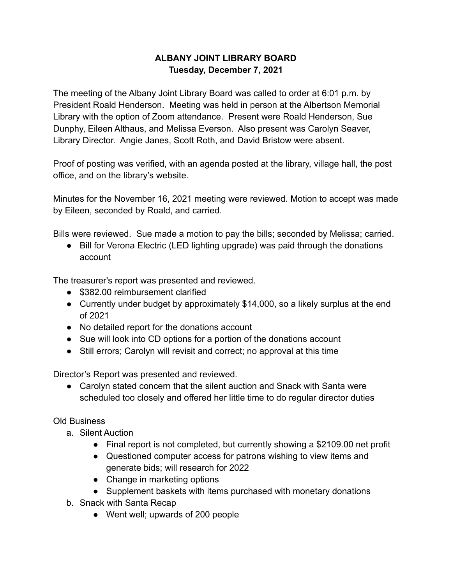## **ALBANY JOINT LIBRARY BOARD Tuesday, December 7, 2021**

The meeting of the Albany Joint Library Board was called to order at 6:01 p.m. by President Roald Henderson. Meeting was held in person at the Albertson Memorial Library with the option of Zoom attendance. Present were Roald Henderson, Sue Dunphy, Eileen Althaus, and Melissa Everson. Also present was Carolyn Seaver, Library Director. Angie Janes, Scott Roth, and David Bristow were absent.

Proof of posting was verified, with an agenda posted at the library, village hall, the post office, and on the library's website.

Minutes for the November 16, 2021 meeting were reviewed. Motion to accept was made by Eileen, seconded by Roald, and carried.

Bills were reviewed. Sue made a motion to pay the bills; seconded by Melissa; carried.

● Bill for Verona Electric (LED lighting upgrade) was paid through the donations account

The treasurer's report was presented and reviewed.

- \$382.00 reimbursement clarified
- Currently under budget by approximately \$14,000, so a likely surplus at the end of 2021
- No detailed report for the donations account
- Sue will look into CD options for a portion of the donations account
- Still errors; Carolyn will revisit and correct; no approval at this time

Director's Report was presented and reviewed.

• Carolyn stated concern that the silent auction and Snack with Santa were scheduled too closely and offered her little time to do regular director duties

Old Business

- a. Silent Auction
	- Final report is not completed, but currently showing a \$2109.00 net profit
	- Questioned computer access for patrons wishing to view items and generate bids; will research for 2022
	- Change in marketing options
	- Supplement baskets with items purchased with monetary donations
- b. Snack with Santa Recap
	- Went well; upwards of 200 people